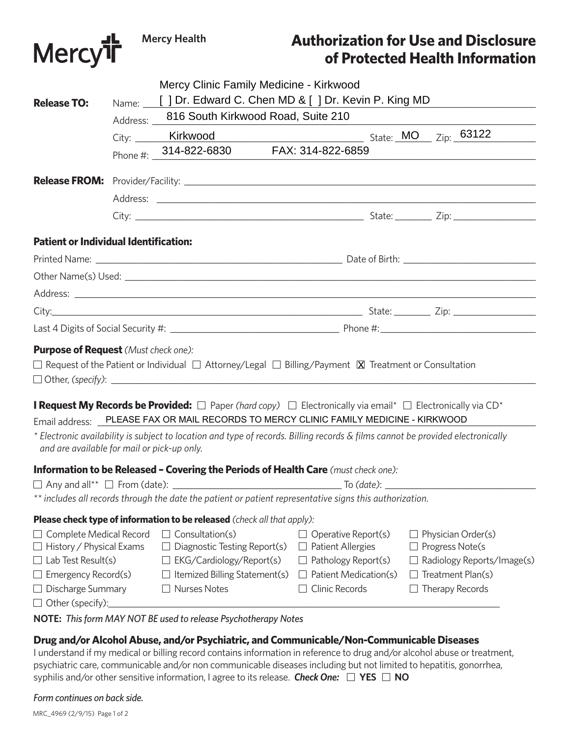

# **Authorization for Use and Disclosure of Protected Health Information**

|                                                                   | Mercy Clinic Family Medicine - Kirkwood                                                                   |                                                                                                                                                                                                                          |                                                 |
|-------------------------------------------------------------------|-----------------------------------------------------------------------------------------------------------|--------------------------------------------------------------------------------------------------------------------------------------------------------------------------------------------------------------------------|-------------------------------------------------|
| <b>Release TO:</b>                                                | Name: [ ] Dr. Edward C. Chen MD & [ ] Dr. Kevin P. King MD<br>Address: 816 South Kirkwood Road, Suite 210 |                                                                                                                                                                                                                          |                                                 |
|                                                                   |                                                                                                           |                                                                                                                                                                                                                          |                                                 |
|                                                                   | Phone #: 314-822-6830 FAX: 314-822-6859                                                                   |                                                                                                                                                                                                                          |                                                 |
|                                                                   |                                                                                                           |                                                                                                                                                                                                                          |                                                 |
|                                                                   |                                                                                                           |                                                                                                                                                                                                                          |                                                 |
|                                                                   |                                                                                                           |                                                                                                                                                                                                                          |                                                 |
| <b>Patient or Individual Identification:</b>                      |                                                                                                           |                                                                                                                                                                                                                          |                                                 |
|                                                                   |                                                                                                           |                                                                                                                                                                                                                          |                                                 |
|                                                                   |                                                                                                           |                                                                                                                                                                                                                          |                                                 |
|                                                                   |                                                                                                           |                                                                                                                                                                                                                          |                                                 |
|                                                                   |                                                                                                           |                                                                                                                                                                                                                          |                                                 |
|                                                                   |                                                                                                           |                                                                                                                                                                                                                          |                                                 |
| <b>Purpose of Request</b> (Must check one):                       |                                                                                                           | $\Box$ Request of the Patient or Individual $\Box$ Attorney/Legal $\Box$ Billing/Payment $\boxtimes$ Treatment or Consultation                                                                                           |                                                 |
|                                                                   |                                                                                                           | <b>I Request My Records be Provided:</b> $\Box$ Paper (hard copy) $\Box$ Electronically via email* $\Box$ Electronically via CD*<br>Email address: PLEASE FAX OR MAIL RECORDS TO MERCY CLINIC FAMILY MEDICINE - KIRKWOOD |                                                 |
| and are available for mail or pick-up only.                       |                                                                                                           | * Electronic availability is subject to location and type of records. Billing records & films cannot be provided electronically                                                                                          |                                                 |
|                                                                   |                                                                                                           | <b>Information to be Released - Covering the Periods of Health Care</b> (must check one):                                                                                                                                |                                                 |
|                                                                   |                                                                                                           |                                                                                                                                                                                                                          |                                                 |
|                                                                   |                                                                                                           | ** includes all records through the date the patient or patient representative signs this authorization.                                                                                                                 |                                                 |
|                                                                   | <b>Please check type of information to be released</b> (check all that apply):                            |                                                                                                                                                                                                                          |                                                 |
| $\Box$ Complete Medical Record<br>$\Box$ History / Physical Exams | Consultation(s)<br>Diagnostic Testing Report(s)                                                           | Operative Report(s)<br><b>Patient Allergies</b>                                                                                                                                                                          | Physician Order(s)<br>Progress Note(s           |
| $\Box$ Lab Test Result(s)<br>$\Box$ Emergency Record(s)           | EKG/Cardiology/Report(s)<br>Itemized Billing Statement(s)                                                 | Pathology Report(s)<br>Patient Medication(s)                                                                                                                                                                             | Radiology Reports/Image(s)<br>Treatment Plan(s) |
| $\Box$ Discharge Summary<br>$\Box$ Other (specify):               | <b>Nurses Notes</b>                                                                                       | Clinic Records                                                                                                                                                                                                           | Therapy Records                                 |

**NOTE:** *This form MAY NOT BE used to release Psychotherapy Notes*

## **Drug and/or Alcohol Abuse, and/or Psychiatric, and Communicable/Non-Communicable Diseases**

I understand if my medical or billing record contains information in reference to drug and/or alcohol abuse or treatment, psychiatric care, communicable and/or non communicable diseases including but not limited to hepatitis, gonorrhea, syphilis and/or other sensitive information, I agree to its release. *Check One:* **YES NO**

*Form continues on back side.*